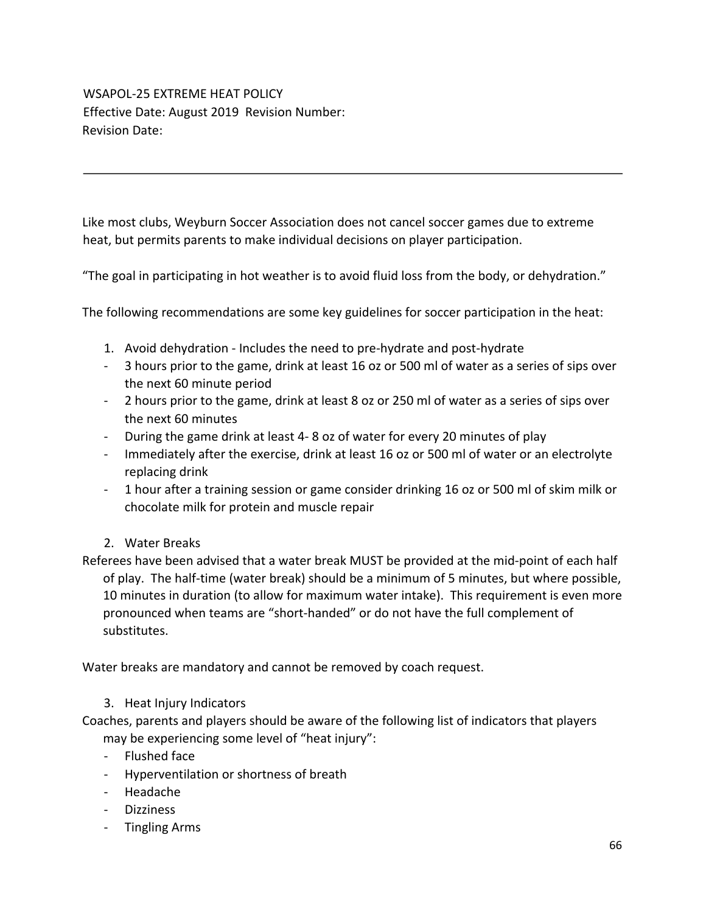## WSAPOL-25 EXTREME HEAT POLICY Effective Date: August 2019 Revision Number: Revision Date:

Like most clubs, Weyburn Soccer Association does not cancel soccer games due to extreme heat, but permits parents to make individual decisions on player participation.

"The goal in participating in hot weather is to avoid fluid loss from the body, or dehydration."

The following recommendations are some key guidelines for soccer participation in the heat:

- 1. Avoid dehydration Includes the need to pre-hydrate and post-hydrate
- 3 hours prior to the game, drink at least 16 oz or 500 ml of water as a series of sips over the next 60 minute period
- 2 hours prior to the game, drink at least 8 oz or 250 ml of water as a series of sips over the next 60 minutes
- During the game drink at least 4- 8 oz of water for every 20 minutes of play
- Immediately after the exercise, drink at least 16 oz or 500 ml of water or an electrolyte replacing drink
- 1 hour after a training session or game consider drinking 16 oz or 500 ml of skim milk or chocolate milk for protein and muscle repair
- 2. Water Breaks

Referees have been advised that a water break MUST be provided at the mid-point of each half of play. The half-time (water break) should be a minimum of 5 minutes, but where possible, 10 minutes in duration (to allow for maximum water intake). This requirement is even more pronounced when teams are "short-handed" or do not have the full complement of substitutes.

Water breaks are mandatory and cannot be removed by coach request.

## 3. Heat Injury Indicators

Coaches, parents and players should be aware of the following list of indicators that players may be experiencing some level of "heat injury":

- Flushed face
- Hyperventilation or shortness of breath
- Headache
- Dizziness
- Tingling Arms